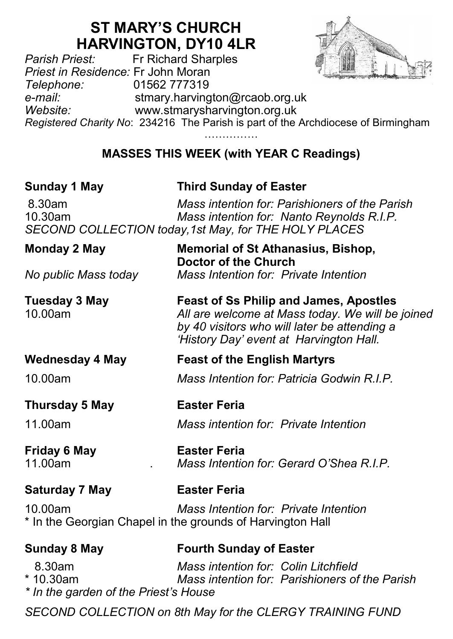# **ST MARY'S CHURCH HARVINGTON, DY10 4LR**<br>Fr Richard Sharples



*Parish Priest:* Fr Richard Sharples *Priest in Residence:* Fr John Moran *Telephone:* 01562 777319 *e-mail:* stmary.harvington@rcaob.org.uk *Website:* www.stmarysharvington.org.uk *Registered Charity No*: 234216 The Parish is part of the Archdiocese of Birmingham

……………

# **MASSES THIS WEEK (with YEAR C Readings)**

# **Sunday 1 May Third Sunday of Easter**

**Doctor of the Church**

8.30am *Mass intention for: Parishioners of the Parish* 10.30am *Mass intention for: Nanto Reynolds R.I.P. SECOND COLLECTION today,1st May, for THE HOLY PLACES*

### **Monday 2 May Memorial of St Athanasius, Bishop,**

*No public Mass today Mass Intention for: Private Intention*

**Tuesday 3 May Feast of Ss Philip and James, Apostles** 10.00am *All are welcome at Mass today. We will be joined by 40 visitors who will later be attending a 'History Day' event at Harvington Hall.*

Mass Intention for: Gerard O'Shea R.I.P.

# **Wednesday 4 May Feast of the English Martyrs**

10.00am *Mass Intention for: Patricia Godwin R.I.P.*

# **Thursday 5 May Easter Feria**

11.00am *Mass intention for: Private Intention*

# **Friday 6 May <b>Easter Feria**<br>11 00am *Mass Intentio*

**Saturday 7 May Easter Feria**

10.00am *Mass Intention for: Private Intention* \* In the Georgian Chapel in the grounds of Harvington Hall

# **Sunday 8 May Fourth Sunday of Easter**

 8.30am *Mass intention for: Colin Litchfield*  \* 10.30am *Mass intention for: Parishioners of the Parish \* In the garden of the Priest's House*

*SECOND COLLECTION on 8th May for the CLERGY TRAINING FUND*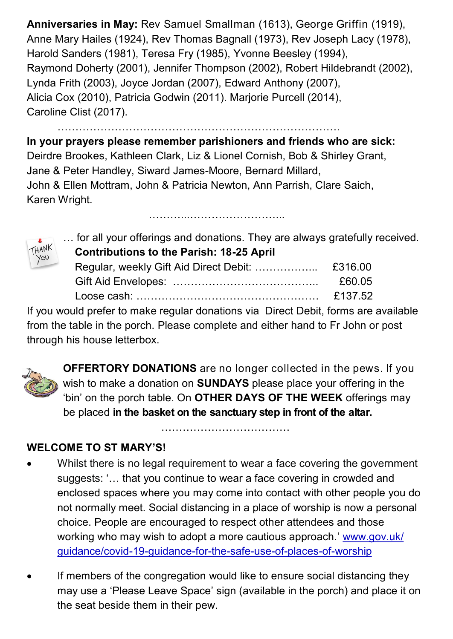**Anniversaries in May:** Rev Samuel Smallman (1613), George Griffin (1919), Anne Mary Hailes (1924), Rev Thomas Bagnall (1973), Rev Joseph Lacy (1978), Harold Sanders (1981), Teresa Fry (1985), Yvonne Beesley (1994), Raymond Doherty (2001), Jennifer Thompson (2002), Robert Hildebrandt (2002), Lynda Frith (2003), Joyce Jordan (2007), Edward Anthony (2007), Alicia Cox (2010), Patricia Godwin (2011). Marjorie Purcell (2014), Caroline Clist (2017).

…………………………………………………………………….

**In your prayers please remember parishioners and friends who are sick:**  Deirdre Brookes, Kathleen Clark, Liz & Lionel Cornish, Bob & Shirley Grant, Jane & Peter Handley, Siward James-Moore, Bernard Millard, John & Ellen Mottram, John & Patricia Newton, Ann Parrish, Clare Saich, Karen Wright.

……………………………………………………



… for all your offerings and donations. They are always gratefully received.  **Contributions to the Parish: 18-25 April**

|  | £60.05 |
|--|--------|
|  |        |

If you would prefer to make regular donations via Direct Debit, forms are available from the table in the porch. Please complete and either hand to Fr John or post through his house letterbox.



**OFFERTORY DONATIONS** are no longer collected in the pews. If you wish to make a donation on **SUNDAYS** please place your offering in the 'bin' on the porch table. On **OTHER DAYS OF THE WEEK** offerings may be placed **in the basket on the sanctuary step in front of the altar.** 

**WELCOME TO ST MARY'S!** 

 Whilst there is no legal requirement to wear a face covering the government suggests: '… that you continue to wear a face covering in crowded and enclosed spaces where you may come into contact with other people you do not normally meet. Social distancing in a place of worship is now a personal choice. People are encouraged to respect other attendees and those working who may wish to adopt a more cautious approach.' www.gov.uk/ guidance/covid-19-guidance-for-the-safe-use-of-places-of-worship

……………………………………………

 If members of the congregation would like to ensure social distancing they may use a 'Please Leave Space' sign (available in the porch) and place it on the seat beside them in their pew.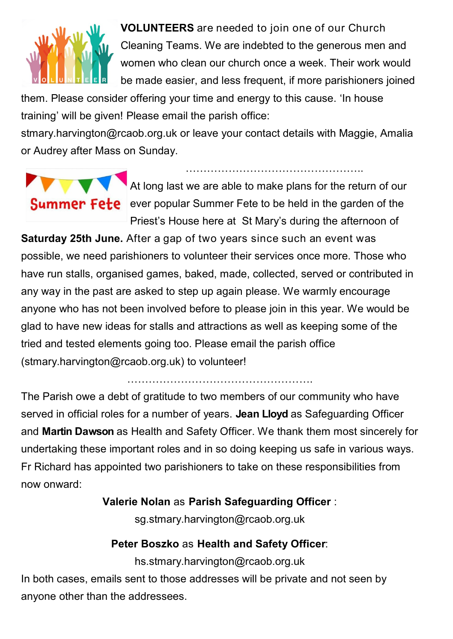

 **VOLUNTEERS** are needed to join one of our Church Cleaning Teams. We are indebted to the generous men and women who clean our church once a week. Their work would be made easier, and less frequent, if more parishioners joined

them. Please consider offering your time and energy to this cause. 'In house training' will be given! Please email the parish office:

stmary.harvington@rcaob.org.uk or leave your contact details with Maggie, Amalia or Audrey after Mass on Sunday.



At long last we are able to make plans for the return of our **Summer Fete** ever popular Summer Fete to be held in the garden of the Priest's House here at St Mary's during the afternoon of

…………………………………………..

**Saturday 25th June.** After a gap of two years since such an event was possible, we need parishioners to volunteer their services once more. Those who have run stalls, organised games, baked, made, collected, served or contributed in any way in the past are asked to step up again please. We warmly encourage anyone who has not been involved before to please join in this year. We would be glad to have new ideas for stalls and attractions as well as keeping some of the tried and tested elements going too. Please email the parish office (stmary.harvington@rcaob.org.uk) to volunteer!

…………………………………………….

The Parish owe a debt of gratitude to two members of our community who have served in official roles for a number of years. **Jean Lloyd** as Safeguarding Officer and **Martin Dawson** as Health and Safety Officer. We thank them most sincerely for undertaking these important roles and in so doing keeping us safe in various ways. Fr Richard has appointed two parishioners to take on these responsibilities from now onward:

### **Valerie Nolan** as **Parish Safeguarding Officer** :

sg.stmary.harvington@rcaob.org.uk

### **Peter Boszko** as **Health and Safety Officer**:

hs.stmary.harvington@rcaob.org.uk In both cases, emails sent to those addresses will be private and not seen by anyone other than the addressees.